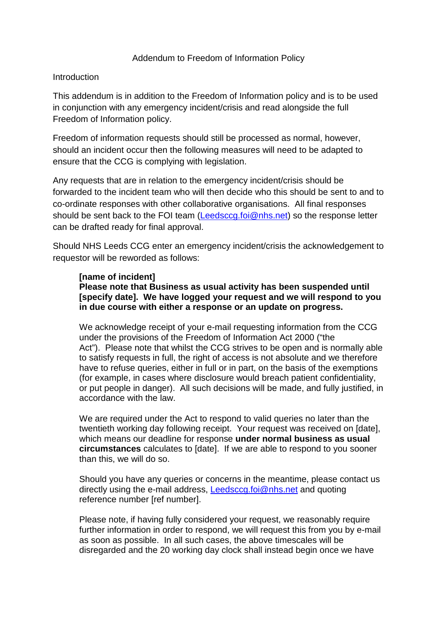## Addendum to Freedom of Information Policy

## **Introduction**

This addendum is in addition to the Freedom of Information policy and is to be used in conjunction with any emergency incident/crisis and read alongside the full Freedom of Information policy.

Freedom of information requests should still be processed as normal, however, should an incident occur then the following measures will need to be adapted to ensure that the CCG is complying with legislation.

Any requests that are in relation to the emergency incident/crisis should be forwarded to the incident team who will then decide who this should be sent to and to co-ordinate responses with other collaborative organisations. All final responses should be sent back to the FOI team [\(Leedsccg.foi@nhs.net\)](mailto:Leedsccg.foi@nhs.net) so the response letter can be drafted ready for final approval.

Should NHS Leeds CCG enter an emergency incident/crisis the acknowledgement to requestor will be reworded as follows:

## **[name of incident]**

**Please note that Business as usual activity has been suspended until [specify date]. We have logged your request and we will respond to you in due course with either a response or an update on progress.**

We acknowledge receipt of your e-mail requesting information from the CCG under the provisions of the Freedom of Information Act 2000 ("the Act"). Please note that whilst the CCG strives to be open and is normally able to satisfy requests in full, the right of access is not absolute and we therefore have to refuse queries, either in full or in part, on the basis of the exemptions (for example, in cases where disclosure would breach patient confidentiality, or put people in danger). All such decisions will be made, and fully justified, in accordance with the law.

We are required under the Act to respond to valid queries no later than the twentieth working day following receipt. Your request was received on [date], which means our deadline for response **under normal business as usual circumstances** calculates to [date]. If we are able to respond to you sooner than this, we will do so.

Should you have any queries or concerns in the meantime, please contact us directly using the e-mail address, [Leedsccg.foi@nhs.net](mailto:Leedsccg.foi@nhs.net) and quoting reference number [ref number].

Please note, if having fully considered your request, we reasonably require further information in order to respond, we will request this from you by e-mail as soon as possible. In all such cases, the above timescales will be disregarded and the 20 working day clock shall instead begin once we have